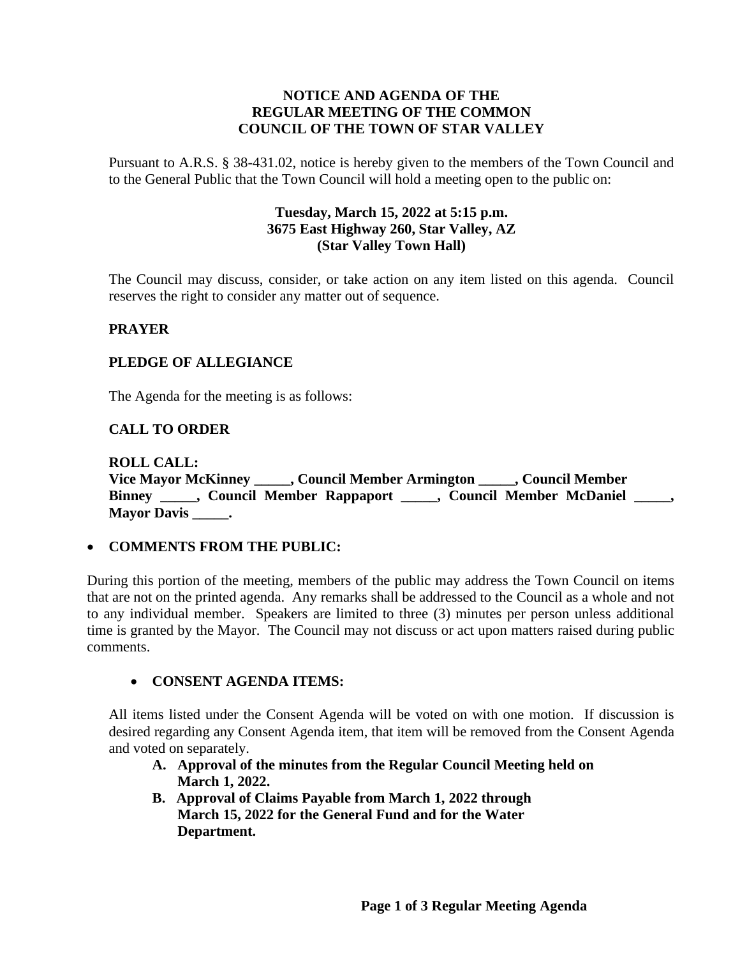## **NOTICE AND AGENDA OF THE REGULAR MEETING OF THE COMMON COUNCIL OF THE TOWN OF STAR VALLEY**

Pursuant to A.R.S. § 38-431.02, notice is hereby given to the members of the Town Council and to the General Public that the Town Council will hold a meeting open to the public on:

## **Tuesday, March 15, 2022 at 5:15 p.m. 3675 East Highway 260, Star Valley, AZ (Star Valley Town Hall)**

The Council may discuss, consider, or take action on any item listed on this agenda. Council reserves the right to consider any matter out of sequence.

## **PRAYER**

## **PLEDGE OF ALLEGIANCE**

The Agenda for the meeting is as follows:

## **CALL TO ORDER**

**ROLL CALL: Vice Mayor McKinney \_\_\_\_\_, Council Member Armington \_\_\_\_\_, Council Member Binney \_\_\_\_\_, Council Member Rappaport \_\_\_\_\_, Council Member McDaniel \_\_\_\_\_, Mayor Davis \_\_\_\_\_.**

#### • **COMMENTS FROM THE PUBLIC:**

During this portion of the meeting, members of the public may address the Town Council on items that are not on the printed agenda. Any remarks shall be addressed to the Council as a whole and not to any individual member. Speakers are limited to three (3) minutes per person unless additional time is granted by the Mayor. The Council may not discuss or act upon matters raised during public comments.

#### • **CONSENT AGENDA ITEMS:**

All items listed under the Consent Agenda will be voted on with one motion. If discussion is desired regarding any Consent Agenda item, that item will be removed from the Consent Agenda and voted on separately.

- **A. Approval of the minutes from the Regular Council Meeting held on March 1, 2022.**
- **B. Approval of Claims Payable from March 1, 2022 through March 15, 2022 for the General Fund and for the Water Department.**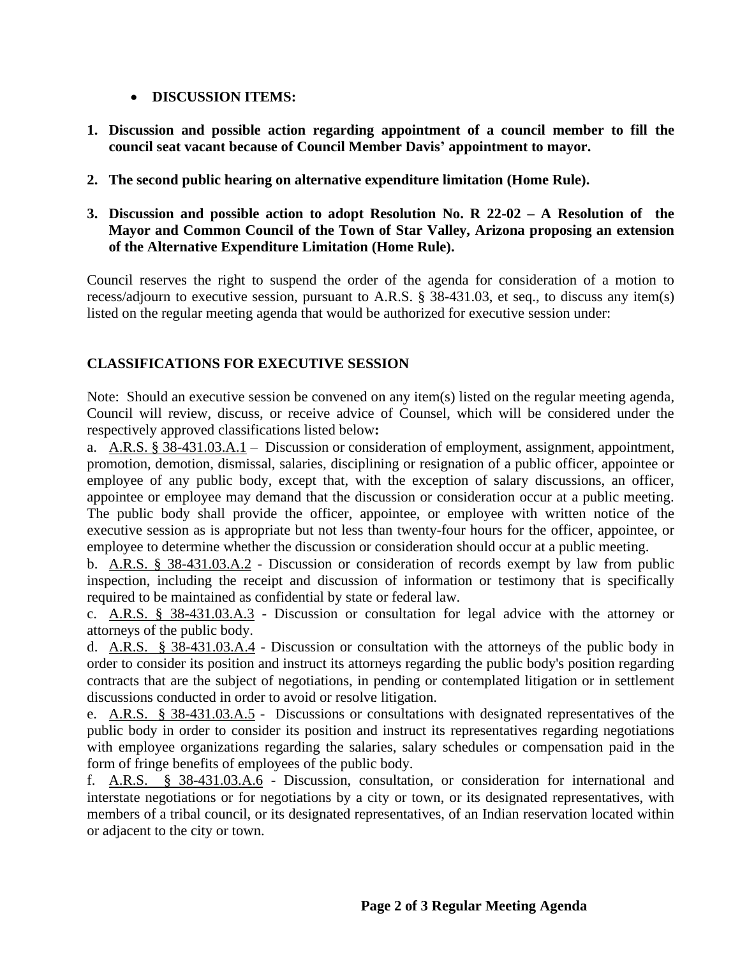- **DISCUSSION ITEMS:**
- **1. Discussion and possible action regarding appointment of a council member to fill the council seat vacant because of Council Member Davis' appointment to mayor.**
- **2. The second public hearing on alternative expenditure limitation (Home Rule).**
- **3. Discussion and possible action to adopt Resolution No. R 22-02 – A Resolution of the Mayor and Common Council of the Town of Star Valley, Arizona proposing an extension of the Alternative Expenditure Limitation (Home Rule).**

Council reserves the right to suspend the order of the agenda for consideration of a motion to recess/adjourn to executive session, pursuant to A.R.S. § 38-431.03, et seq., to discuss any item(s) listed on the regular meeting agenda that would be authorized for executive session under:

# **CLASSIFICATIONS FOR EXECUTIVE SESSION**

Note: Should an executive session be convened on any item(s) listed on the regular meeting agenda, Council will review, discuss, or receive advice of Counsel, which will be considered under the respectively approved classifications listed below**:**

a. A.R.S. § 38-431.03.A.1 – Discussion or consideration of employment, assignment, appointment, promotion, demotion, dismissal, salaries, disciplining or resignation of a public officer, appointee or employee of any public body, except that, with the exception of salary discussions, an officer, appointee or employee may demand that the discussion or consideration occur at a public meeting. The public body shall provide the officer, appointee, or employee with written notice of the executive session as is appropriate but not less than twenty-four hours for the officer, appointee, or employee to determine whether the discussion or consideration should occur at a public meeting.

b. A.R.S. § 38-431.03.A.2 - Discussion or consideration of records exempt by law from public inspection, including the receipt and discussion of information or testimony that is specifically required to be maintained as confidential by state or federal law.

c. A.R.S. § 38-431.03.A.3 - Discussion or consultation for legal advice with the attorney or attorneys of the public body.

d. A.R.S. § 38-431.03.A.4 - Discussion or consultation with the attorneys of the public body in order to consider its position and instruct its attorneys regarding the public body's position regarding contracts that are the subject of negotiations, in pending or contemplated litigation or in settlement discussions conducted in order to avoid or resolve litigation.

e. A.R.S. § 38-431.03.A.5 - Discussions or consultations with designated representatives of the public body in order to consider its position and instruct its representatives regarding negotiations with employee organizations regarding the salaries, salary schedules or compensation paid in the form of fringe benefits of employees of the public body.

f. A.R.S. § 38-431.03.A.6 - Discussion, consultation, or consideration for international and interstate negotiations or for negotiations by a city or town, or its designated representatives, with members of a tribal council, or its designated representatives, of an Indian reservation located within or adjacent to the city or town.